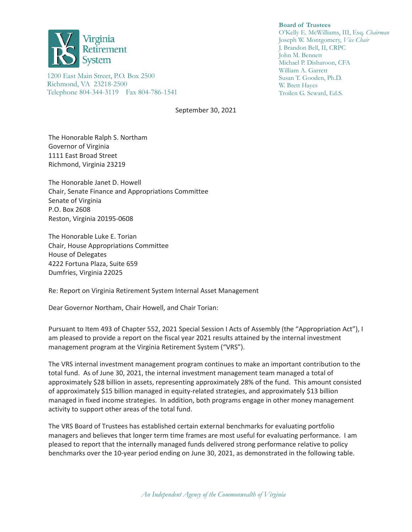

1200 East Main Street, P.O. Box 2500 Richmond, VA 23218-2500 Telephone 804-344-3119 Fax 804-786-1541

September 30, 2021

The Honorable Ralph S. Northam Governor of Virginia 1111 East Broad Street Richmond, Virginia 23219

The Honorable Janet D. Howell Chair, Senate Finance and Appropriations Committee Senate of Virginia P.O. Box 2608 Reston, Virginia 20195-0608

The Honorable Luke E. Torian Chair, House Appropriations Committee House of Delegates 4222 Fortuna Plaza, Suite 659 Dumfries, Virginia 22025

Re: Report on Virginia Retirement System Internal Asset Management

Dear Governor Northam, Chair Howell, and Chair Torian:

Pursuant to Item 493 of Chapter 552, 2021 Special Session I Acts of Assembly (the "Appropriation Act"), I am pleased to provide a report on the fiscal year 2021 results attained by the internal investment management program at the Virginia Retirement System ("VRS").

The VRS internal investment management program continues to make an important contribution to the total fund. As of June 30, 2021, the internal investment management team managed a total of approximately \$28 billion in assets, representing approximately 28% of the fund. This amount consisted of approximately \$15 billion managed in equity-related strategies, and approximately \$13 billion managed in fixed income strategies. In addition, both programs engage in other money management activity to support other areas of the total fund.

The VRS Board of Trustees has established certain external benchmarks for evaluating portfolio managers and believes that longer term time frames are most useful for evaluating performance. I am pleased to report that the internally managed funds delivered strong performance relative to policy benchmarks over the 10-year period ending on June 30, 2021, as demonstrated in the following table.

**Board of Trustees** 

O'Kelly E. McWilliams, III, Esq. *Chairman* Joseph W. Montgomery, *Vice Chair* J. Brandon Bell, II, CRPC John M. Bennett Michael P. Disharoon, CFA William A. Garrett Susan T. Gooden, Ph.D. W. Brett Hayes Troilen G. Seward, Ed.S.